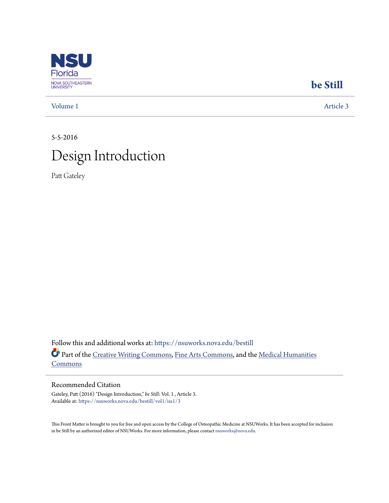

## **[be Still](https://nsuworks.nova.edu/bestill?utm_source=nsuworks.nova.edu%2Fbestill%2Fvol1%2Fiss1%2F3&utm_medium=PDF&utm_campaign=PDFCoverPages)**

[Volume 1](https://nsuworks.nova.edu/bestill/vol1?utm_source=nsuworks.nova.edu%2Fbestill%2Fvol1%2Fiss1%2F3&utm_medium=PDF&utm_campaign=PDFCoverPages) [Article 3](https://nsuworks.nova.edu/bestill/vol1/iss1/3?utm_source=nsuworks.nova.edu%2Fbestill%2Fvol1%2Fiss1%2F3&utm_medium=PDF&utm_campaign=PDFCoverPages)

## 5-5-2016 Design Introduction

Patt Gateley

Follow this and additional works at: [https://nsuworks.nova.edu/bestill](https://nsuworks.nova.edu/bestill?utm_source=nsuworks.nova.edu%2Fbestill%2Fvol1%2Fiss1%2F3&utm_medium=PDF&utm_campaign=PDFCoverPages) Part of the [Creative Writing Commons](http://network.bepress.com/hgg/discipline/574?utm_source=nsuworks.nova.edu%2Fbestill%2Fvol1%2Fiss1%2F3&utm_medium=PDF&utm_campaign=PDFCoverPages), [Fine Arts Commons,](http://network.bepress.com/hgg/discipline/1141?utm_source=nsuworks.nova.edu%2Fbestill%2Fvol1%2Fiss1%2F3&utm_medium=PDF&utm_campaign=PDFCoverPages) and the [Medical Humanities](http://network.bepress.com/hgg/discipline/1303?utm_source=nsuworks.nova.edu%2Fbestill%2Fvol1%2Fiss1%2F3&utm_medium=PDF&utm_campaign=PDFCoverPages) [Commons](http://network.bepress.com/hgg/discipline/1303?utm_source=nsuworks.nova.edu%2Fbestill%2Fvol1%2Fiss1%2F3&utm_medium=PDF&utm_campaign=PDFCoverPages)

### Recommended Citation

Gateley, Patt (2016) "Design Introduction," *be Still*: Vol. 1 , Article 3. Available at: [https://nsuworks.nova.edu/bestill/vol1/iss1/3](https://nsuworks.nova.edu/bestill/vol1/iss1/3?utm_source=nsuworks.nova.edu%2Fbestill%2Fvol1%2Fiss1%2F3&utm_medium=PDF&utm_campaign=PDFCoverPages)

This Front Matter is brought to you for free and open access by the College of Osteopathic Medicine at NSUWorks. It has been accepted for inclusion in be Still by an authorized editor of NSUWorks. For more information, please contact [nsuworks@nova.edu.](mailto:nsuworks@nova.edu)